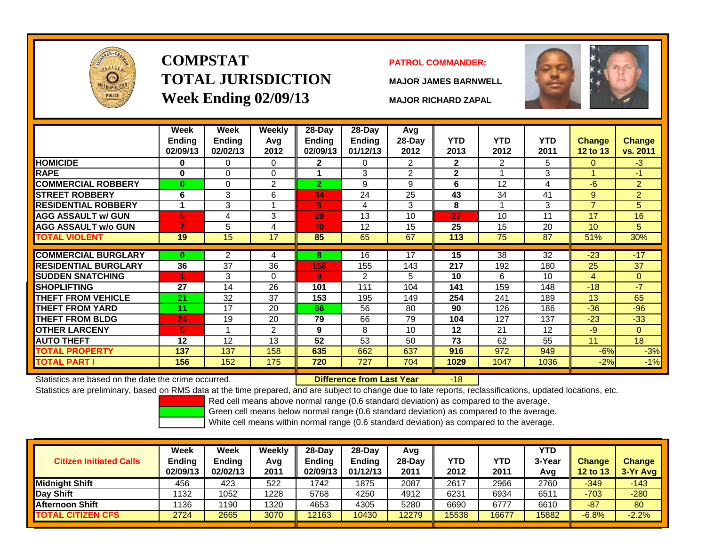

# **COMPSTATTOTAL JURISDICTIONWeek Ending 02/09/13 MAJOR RICHARD ZAPAL**

### **PATROL COMMANDER:**

**MAJOR JAMES BARNWELL**



|                                                      | Week<br><b>Ending</b><br>02/09/13 | Week<br><b>Ending</b><br>02/02/13 | <b>Weekly</b><br>Avg<br>2012 | 28-Day<br>Ending<br>02/09/13 | 28-Day<br><b>Ending</b><br>01/12/13 | Avg<br>28-Day<br>2012 | <b>YTD</b><br>2013 | <b>YTD</b><br>2012 | <b>YTD</b><br>2011 | Change<br>12 to 13 | <b>Change</b><br>vs. 2011 |
|------------------------------------------------------|-----------------------------------|-----------------------------------|------------------------------|------------------------------|-------------------------------------|-----------------------|--------------------|--------------------|--------------------|--------------------|---------------------------|
| <b>HOMICIDE</b>                                      | 0                                 | 0                                 | 0                            | $\mathbf{2}$                 | 0                                   | $\overline{2}$        | $\mathbf{2}$       | 2                  | 5                  | $\Omega$           | $-3$                      |
| <b>RAPE</b>                                          | 0                                 | 0                                 | $\Omega$                     |                              | 3                                   | 2                     | $\mathbf{2}$       |                    | 3                  |                    | $-1$                      |
| <b>COMMERCIAL ROBBERY</b>                            | $\bf{0}$                          | 0                                 | $\overline{2}$               | $\overline{2}$               | 9                                   | 9                     | 6                  | 12                 | 4                  | $-6$               | $\overline{2}$            |
| <b>STREET ROBBERY</b>                                | 6                                 | 3                                 | 6                            | 34                           | 24                                  | 25                    | 43                 | 34                 | 41                 | 9                  | $\overline{2}$            |
| <b>RESIDENTIAL ROBBERY</b>                           |                                   | 3                                 | $\overline{A}$               | 6                            | 4                                   | 3                     | 8                  | 1                  | 3                  | $\overline{7}$     | 5                         |
| <b>AGG ASSAULT w/ GUN</b>                            | 5                                 | 4                                 | 3                            | 20                           | 13                                  | 10                    | 27                 | 10                 | 11                 | 17                 | 16                        |
| <b>AGG ASSAULT w/o GUN</b>                           | 7                                 | 5                                 | 4                            | 20                           | 12                                  | 15                    | 25                 | 15                 | 20                 | 10                 | 5                         |
| <b>TOTAL VIOLENT</b>                                 | 19                                | 15                                | 17                           | 85                           | 65                                  | 67                    | 113                | $\overline{75}$    | 87                 | 51%                | 30%                       |
|                                                      |                                   |                                   |                              |                              |                                     |                       |                    |                    |                    |                    |                           |
| <b>COMMERCIAL BURGLARY</b>                           | $\bf{0}$                          | $\overline{2}$                    | 4                            | 8                            | 16                                  | 17                    | 15                 | 38                 | 32                 | $-23$              | $-17$                     |
| <b>RESIDENTIAL BURGLARY</b>                          | 36                                | 37                                | 36                           | 158                          | 155                                 | 143                   | 217                | 192                | 180                | 25                 | 37                        |
| <b>SUDDEN SNATCHING</b>                              |                                   | 3                                 | $\Omega$                     | 9                            | $\overline{2}$                      | 5                     | 10                 | 6                  | 10                 | 4                  | $\overline{0}$            |
| <b>SHOPLIFTING</b>                                   | 27                                | 14                                | 26                           | 101                          | 111                                 | 104                   | 141                | 159                | 148                | $-18$              | $-7$                      |
| <b>THEFT FROM VEHICLE</b>                            | 21                                | 32                                | 37                           | 153                          | 195                                 | 149                   | 254                | 241                | 189                | 13                 | 65                        |
| <b>THEFT FROM YARD</b>                               | 11                                | 17                                | 20                           | 66                           | 56                                  | 80                    | 90                 | 126                | 186                | $-36$              | $-96$                     |
| <b>THEFT FROM BLDG</b>                               | 24                                | 19                                | 20                           | 79                           | 66                                  | 79                    | 104                | 127                | 137                | $-23$              | $-33$                     |
| <b>OTHER LARCENY</b>                                 | 5                                 |                                   | $\overline{2}$               | 9                            | 8                                   | 10                    | 12                 | 21                 | 12                 | $-9$               | $\Omega$                  |
| <b>AUTO THEFT</b>                                    | 12                                | 12                                | 13                           | 52                           | 53                                  | 50                    | 73                 | 62                 | 55                 | 11                 | 18                        |
| <b>TOTAL PROPERTY</b>                                | 137                               | 137                               | 158                          | 635                          | 662                                 | 637                   | 916                | 972                | 949                | $-6%$              | $-3%$                     |
| <b>TOTAL PART I</b>                                  | 156                               | 152                               | 175                          | 720                          | 727                                 | 704                   | 1029               | 1047               | 1036               | $-2%$              | $-1%$                     |
| Statistics are based on the date the crime occurred. |                                   |                                   |                              |                              | <b>Difference from Last Year</b>    |                       | $-18$              |                    |                    |                    |                           |

Statistics are based on the date the crime occurred. **Difference from Last Year** 

Statistics are preliminary, based on RMS data at the time prepared, and are subject to change due to late reports, reclassifications, updated locations, etc.

Red cell means above normal range (0.6 standard deviation) as compared to the average.

Green cell means below normal range (0.6 standard deviation) as compared to the average.

| <b>Citizen Initiated Calls</b> | Week<br><b>Ending</b><br>02/09/13 | <b>Week</b><br><b>Ending</b><br>02/02/13 | Weekly<br>Avg<br>2011 | $28-Dav$<br><b>Ending</b><br>02/09/13 | 28-Dav<br><b>Ending</b><br>01/12/13 | Avg<br>28-Dav<br>2011 | YTD<br>2012 | YTD<br>2011 | <b>YTD</b><br>3-Year<br>Avg | <b>Change</b><br><b>12 to 13</b> | <b>Change</b><br>3-Yr Avg |
|--------------------------------|-----------------------------------|------------------------------------------|-----------------------|---------------------------------------|-------------------------------------|-----------------------|-------------|-------------|-----------------------------|----------------------------------|---------------------------|
| <b>Midnight Shift</b>          | 456                               | 423                                      | 522                   | 1742                                  | 1875                                | 2087                  | 2617        | 2966        | 2760                        | $-349$                           | $-143$                    |
| Day Shift                      | 1132                              | 1052                                     | 1228                  | 5768                                  | 4250                                | 4912                  | 6231        | 6934        | 6511                        | $-703$                           | $-280$                    |
| <b>Afternoon Shift</b>         | 136                               | 1190                                     | 1320                  | 4653                                  | 4305                                | 5280                  | 6690        | 6777        | 6610                        | $-87$                            | 80                        |
| <b>TOTAL CITIZEN CFS</b>       | 2724                              | 2665                                     | 3070                  | 2163                                  | 10430                               | 12279                 | 15538       | 16677       | 15882                       | $-6.8%$                          | $-2.2%$                   |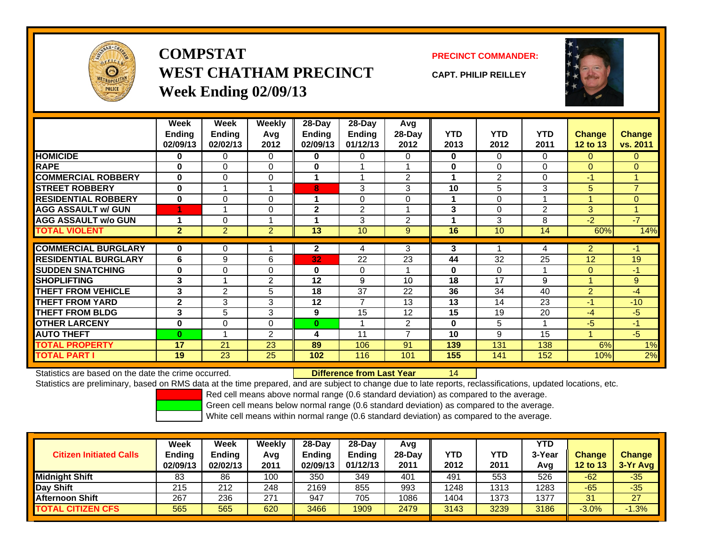

**COMPSTATWEST CHATHAM PRECINCTWeek Ending 02/09/13**

**PRECINCT COMMANDER:**

**CAPT. PHILIP REILLEY**



|                             | Week           | Week           | <b>Weekly</b>  | 28-Day       | 28-Day         | Avg                      |            |                |            |                      |                |
|-----------------------------|----------------|----------------|----------------|--------------|----------------|--------------------------|------------|----------------|------------|----------------------|----------------|
|                             | <b>Ending</b>  | <b>Ending</b>  | Avg            | Endina       | <b>Endina</b>  | 28-Day                   | <b>YTD</b> | <b>YTD</b>     | <b>YTD</b> | <b>Change</b>        | <b>Change</b>  |
|                             | 02/09/13       | 02/02/13       | 2012           | 02/09/13     | 01/12/13       | 2012                     | 2013       | 2012           | 2011       | 12 to 13             | vs. 2011       |
| <b>HOMICIDE</b>             | 0              | 0              | 0              | 0            | 0              | 0                        | 0          | $\Omega$       | $\Omega$   | $\mathbf{0}$         | $\mathbf{0}$   |
| <b>RAPE</b>                 | $\bf{0}$       | 0              | $\Omega$       | $\bf{0}$     |                |                          | 0          | $\Omega$       | $\Omega$   | $\Omega$             | $\Omega$       |
| <b>COMMERCIAL ROBBERY</b>   | $\bf{0}$       | 0              | 0              |              |                | $\overline{2}$           | 1          | $\overline{2}$ | $\Omega$   | $-1$                 | $\mathbf{1}$   |
| <b>STREET ROBBERY</b>       | $\bf{0}$       |                | 1              | 8            | 3              | 3                        | 10         | 5              | 3          | 5                    | $\overline{7}$ |
| <b>RESIDENTIAL ROBBERY</b>  | $\bf{0}$       | 0              | $\Omega$       |              | 0              | $\Omega$                 | 1          | $\Omega$       |            | $\blacktriangleleft$ | $\overline{0}$ |
| <b>AGG ASSAULT w/ GUN</b>   | 4              |                | $\Omega$       | $\mathbf{2}$ | 2              |                          | 3          | 0              | 2          | 3                    | $\mathbf{1}$   |
| <b>AGG ASSAULT w/o GUN</b>  |                | 0              | 1              |              | 3              | $\overline{2}$           | 4          | 3              | 8          | $-2$                 | $-7$           |
| <b>TOTAL VIOLENT</b>        | $\overline{2}$ | $\overline{2}$ | $\overline{2}$ | 13           | 10             | 9                        | 16         | 10             | 14         | 60%                  | 14%            |
|                             |                |                |                |              |                |                          |            |                |            |                      |                |
| <b>COMMERCIAL BURGLARY</b>  | $\bf{0}$       | 0              |                | $\mathbf{2}$ | 4              | 3                        | 3          |                | 4          | $\overline{2}$       | -1             |
| <b>RESIDENTIAL BURGLARY</b> | 6              | 9              | 6              | 32           | 22             | 23                       | 44         | 32             | 25         | 12                   | 19             |
| <b>SUDDEN SNATCHING</b>     | 0              | 0              | $\Omega$       | $\bf{0}$     | $\Omega$       |                          | 0          | 0              |            | $\Omega$             | $-1$           |
| <b>SHOPLIFTING</b>          | 3              |                | $\overline{2}$ | 12           | 9              | 10                       | 18         | 17             | 9          |                      | 9              |
| <b>THEFT FROM VEHICLE</b>   | 3              | $\overline{2}$ | 5              | 18           | 37             | 22                       | 36         | 34             | 40         | $\overline{2}$       | $-4$           |
| <b>THEFT FROM YARD</b>      | $\overline{2}$ | 3              | 3              | 12           | $\overline{7}$ | 13                       | 13         | 14             | 23         | $-1$                 | $-10$          |
| <b>THEFT FROM BLDG</b>      | 3              | 5              | 3              | 9            | 15             | 12                       | 15         | 19             | 20         | $-4$                 | -5             |
| <b>OTHER LARCENY</b>        | $\bf{0}$       | 0              | $\Omega$       | $\bf{0}$     |                | $\overline{2}$           | $\bf{0}$   | 5              |            | $-5$                 | $-1$           |
| <b>AUTO THEFT</b>           | $\bf{0}$       | $\overline{A}$ | $\overline{2}$ | 4            | 11             | $\overline{\phantom{a}}$ | 10         | 9              | 15         |                      | $-5$           |
| <b>TOTAL PROPERTY</b>       | 17             | 21             | 23             | 89           | 106            | 91                       | 139        | 131            | 138        | 6%                   | 1%             |
| <b>TOTAL PART I</b>         | 19             | 23             | 25             | 102          | 116            | 101                      | 155        | 141            | 152        | 10%                  | 2%             |

Statistics are based on the date the crime occurred. **Difference from Last Year** 

Statistics are preliminary, based on RMS data at the time prepared, and are subject to change due to late reports, reclassifications, updated locations, etc.

14

Red cell means above normal range (0.6 standard deviation) as compared to the average.

Green cell means below normal range (0.6 standard deviation) as compared to the average.

| <b>Citizen Initiated Calls</b> | Week<br><b>Ending</b><br>02/09/13 | <b>Week</b><br><b>Ending</b><br>02/02/13 | Weekly<br>Avg<br>2011 | $28-Day$<br><b>Ending</b><br>02/09/13 | 28-Dav<br><b>Ending</b><br>01/12/13 | Avg<br>28-Day<br>2011 | YTD<br>2012 | YTD<br>2011 | YTD<br>3-Year<br>Avg | <b>Change</b><br>12 to 13 | <b>Change</b><br>3-Yr Avg |
|--------------------------------|-----------------------------------|------------------------------------------|-----------------------|---------------------------------------|-------------------------------------|-----------------------|-------------|-------------|----------------------|---------------------------|---------------------------|
| <b>Midnight Shift</b>          | 83                                | 86                                       | 100                   | 350                                   | 349                                 | 401                   | 491         | 553         | 526                  | $-62$                     | $-35$                     |
| Day Shift                      | 215                               | 212                                      | 248                   | 2169                                  | 855                                 | 993                   | 1248        | 1313        | 1283                 | $-65$                     | $-35$                     |
| Afternoon Shift                | 267                               | 236                                      | 271                   | 947                                   | 705                                 | 1086                  | 1404        | 1373        | 1377                 | 31                        | 27                        |
| <b>TOTAL CITIZEN CFS</b>       | 565                               | 565                                      | 620                   | 3466                                  | 1909                                | 2479                  | 3143        | 3239        | 3186                 | $-3.0%$                   | $-1.3%$                   |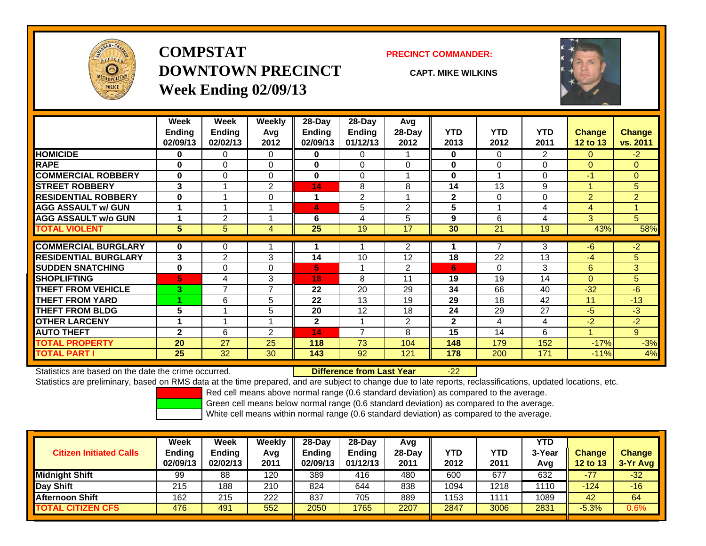

## **COMPSTATDOWNTOWN PRECINCTWeek Ending 02/09/13**

#### **PRECINCT COMMANDER:**

**CAPT. MIKE WILKINS**

-22



|                             | Week                 | Week           | <b>Weekly</b>  | $28$ -Day    | $28$ -Day     | Avg            |              |            |                |                 |                |
|-----------------------------|----------------------|----------------|----------------|--------------|---------------|----------------|--------------|------------|----------------|-----------------|----------------|
|                             | <b>Ending</b>        | <b>Ending</b>  | Avg            | Ending       | <b>Ending</b> | 28-Day         | <b>YTD</b>   | <b>YTD</b> | <b>YTD</b>     | <b>Change</b>   | <b>Change</b>  |
|                             | 02/09/13             | 02/02/13       | 2012           | 02/09/13     | 01/12/13      | 2012           | 2013         | 2012       | 2011           | <b>12 to 13</b> | vs. 2011       |
| <b>HOMICIDE</b>             | $\bf{0}$             | 0              | $\Omega$       | 0            | 0             |                | $\bf{0}$     | $\Omega$   | $\overline{2}$ | $\overline{0}$  | $-2$           |
| <b>RAPE</b>                 | $\bf{0}$             | $\Omega$       | 0              | $\bf{0}$     | $\Omega$      | $\Omega$       | 0            | $\Omega$   | 0              | $\Omega$        | $\Omega$       |
| <b>COMMERCIAL ROBBERY</b>   | $\bf{0}$             | $\Omega$       | 0              | $\bf{0}$     | $\Omega$      |                | 0            |            | 0              | $-1$            | $\overline{0}$ |
| <b>STREET ROBBERY</b>       | 3                    |                | 2              | 14           | 8             | 8              | 14           | 13         | 9              |                 | 5              |
| <b>RESIDENTIAL ROBBERY</b>  | $\bf{0}$             | 4              | $\Omega$       | 1            | 2             | и              | $\mathbf{2}$ | $\Omega$   | 0              | 2               | $\overline{2}$ |
| <b>AGG ASSAULT w/ GUN</b>   | $\blacktriangleleft$ |                | ×              | 4            | 5             | $\overline{2}$ | 5            |            | 4              | 4               |                |
| <b>AGG ASSAULT w/o GUN</b>  |                      | 2              |                | 6            | 4             | 5              | 9            | 6          | 4              | 3               | 5              |
| <b>TOTAL VIOLENT</b>        | 5                    | 5              | 4              | 25           | 19            | 17             | 30           | 21         | 19             | 43%             | 58%            |
| <b>COMMERCIAL BURGLARY</b>  | $\bf{0}$             | 0              |                |              |               | $\overline{2}$ |              | 7          | 3              | -6              | $-2$           |
| <b>RESIDENTIAL BURGLARY</b> | 3                    | $\overline{2}$ | 3              | 14           | 10            | 12             | 18           | 22         | 13             | -4              | 5              |
| <b>SUDDEN SNATCHING</b>     | $\bf{0}$             | $\Omega$       | $\Omega$       | 5            |               | $\overline{2}$ | 6            | $\Omega$   | 3              | 6               | 3              |
| <b>SHOPLIFTING</b>          | 5                    | 4              | 3              | 18           | 8             | 11             | 19           | 19         | 14             | $\Omega$        | 5              |
| <b>THEFT FROM VEHICLE</b>   | 3                    | 7              | $\overline{7}$ | 22           | 20            | 29             | 34           | 66         | 40             | $-32$           | $-6$           |
| <b>THEFT FROM YARD</b>      | и                    | 6              | 5              | 22           | 13            | 19             | 29           | 18         | 42             | 11              | $-13$          |
| <b>THEFT FROM BLDG</b>      | 5                    | 4              | 5              | 20           | 12            | 18             | 24           | 29         | 27             | -5              | $-3$           |
| <b>OTHER LARCENY</b>        | 1                    | 1              |                | $\mathbf{2}$ |               | $\overline{2}$ | $\mathbf{2}$ | 4          | 4              | $-2$            | $-2$           |
| <b>AUTO THEFT</b>           | $\mathbf{2}$         | 6              | 2              | 14           | 7             | 8              | 15           | 14         | 6              |                 | 9 <sup>°</sup> |
| <b>TOTAL PROPERTY</b>       | 20                   | 27             | 25             | 118          | 73            | 104            | 148          | 179        | 152            | $-17%$          | $-3%$          |
| <b>TOTAL PART I</b>         | 25                   | 32             | 30             | 143          | 92            | 121            | 178          | 200        | 171            | $-11%$          | 4%             |

Statistics are based on the date the crime occurred. **Difference from Last Year** 

Statistics are preliminary, based on RMS data at the time prepared, and are subject to change due to late reports, reclassifications, updated locations, etc.

Red cell means above normal range (0.6 standard deviation) as compared to the average.

Green cell means below normal range (0.6 standard deviation) as compared to the average.

| <b>Citizen Initiated Calls</b> | Week<br><b>Ending</b><br>02/09/13 | Week<br><b>Ending</b><br>02/02/13 | Weekly<br>Avg<br>2011 | $28-Day$<br><b>Ending</b><br>02/09/13 | $28-Day$<br><b>Ending</b><br>01/12/13 | Avg<br>28-Dav<br>2011 | YTD<br>2012 | <b>YTD</b><br>2011 | YTD<br>3-Year<br>Avg | <b>Change</b><br><b>12 to 13</b> | <b>Change</b><br>3-Yr Avg |
|--------------------------------|-----------------------------------|-----------------------------------|-----------------------|---------------------------------------|---------------------------------------|-----------------------|-------------|--------------------|----------------------|----------------------------------|---------------------------|
| <b>Midnight Shift</b>          | 99                                | 88                                | 120                   | 389                                   | 416                                   | 480                   | 600         | $\overline{67}$    | 632                  | $-77$                            | $-32$                     |
| Day Shift                      | 215                               | 188                               | 210                   | 824                                   | 644                                   | 838                   | 1094        | 1218               | 1110                 | -124                             | $-16$                     |
| <b>Afternoon Shift</b>         | 162                               | 215                               | 222                   | 837                                   | 705                                   | 889                   | 1153        | 1111               | 1089                 | 42                               | 64                        |
| <b>TOTAL CITIZEN CFS</b>       | 476                               | 491                               | 552                   | 2050                                  | 1765                                  | 2207                  | 2847        | 3006               | 2831                 | $-5.3%$                          | 0.6%                      |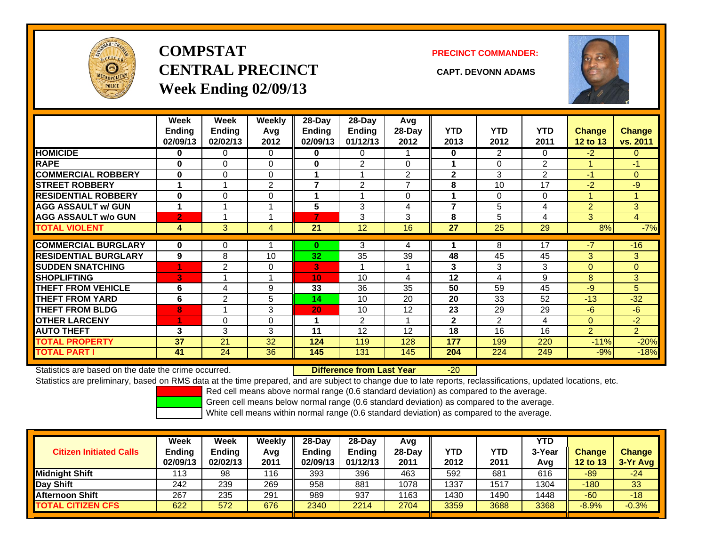

# **COMPSTATCENTRAL PRECINCT CAPT. DEVONN ADAMSWeek Ending 02/09/13**

**PRECINCT COMMANDER:**



|                             | Week<br><b>Ending</b><br>02/09/13 | Week<br><b>Ending</b><br>02/02/13 | <b>Weekly</b><br>Avg<br>2012 | 28-Day<br>Endina<br>02/09/13 | 28-Day<br><b>Endina</b><br>01/12/13 | Avg<br>28-Day<br>2012 | <b>YTD</b><br>2013 | <b>YTD</b><br>2012 | <b>YTD</b><br>2011 | <b>Change</b><br>12 to 13 | Change<br>vs. 2011 |
|-----------------------------|-----------------------------------|-----------------------------------|------------------------------|------------------------------|-------------------------------------|-----------------------|--------------------|--------------------|--------------------|---------------------------|--------------------|
| <b>HOMICIDE</b>             | 0                                 | 0                                 | $\Omega$                     | 0                            | 0                                   |                       | $\bf{0}$           | 2                  | 0                  | $-2$                      | 0                  |
| <b>RAPE</b>                 | $\bf{0}$                          | 0                                 | $\Omega$                     | 0                            | 2                                   | $\Omega$              |                    | $\Omega$           | 2                  |                           | -1                 |
| <b>COMMERCIAL ROBBERY</b>   | $\bf{0}$                          | $\Omega$                          | $\Omega$                     |                              |                                     | $\overline{2}$        | $\mathbf{2}$       | 3                  | $\overline{2}$     | -1                        | $\overline{0}$     |
| <b>STREET ROBBERY</b>       | -1                                | 1                                 | $\overline{2}$               | $\overline{\phantom{a}}$     | $\overline{2}$                      | $\overline{ }$        | 8                  | 10                 | 17                 | $-2$                      | $-9$               |
| <b>RESIDENTIAL ROBBERY</b>  | $\bf{0}$                          | $\Omega$                          | 0                            |                              |                                     | $\Omega$              |                    | 0                  | $\Omega$           |                           |                    |
| <b>AGG ASSAULT w/ GUN</b>   | 1                                 |                                   |                              | 5                            | 3                                   | 4                     | $\overline{ }$     | 5                  | 4                  | $\overline{2}$            | 3 <sup>1</sup>     |
| <b>AGG ASSAULT w/o GUN</b>  | $\overline{2}$                    |                                   |                              | 7                            | 3                                   | 3                     | 8                  | 5                  | 4                  | 3                         | $\overline{4}$     |
| <b>TOTAL VIOLENT</b>        | 4                                 | 3                                 | 4                            | 21                           | 12                                  | 16                    | 27                 | 25                 | 29                 | 8%                        | $-7%$              |
|                             |                                   |                                   |                              |                              |                                     |                       |                    |                    |                    |                           |                    |
| <b>COMMERCIAL BURGLARY</b>  | 0                                 | 0                                 |                              | $\bf{0}$                     | 3                                   | 4                     |                    | 8                  | 17                 | $-7$                      | $-16$              |
| <b>RESIDENTIAL BURGLARY</b> | 9                                 | 8                                 | 10                           | 32                           | 35                                  | 39                    | 48                 | 45                 | 45                 | 3                         | 3                  |
| <b>SUDDEN SNATCHING</b>     | 1                                 | 2                                 | $\Omega$                     | 3.                           |                                     |                       | 3                  | 3                  | 3                  | $\Omega$                  | $\overline{0}$     |
| <b>SHOPLIFTING</b>          | 3                                 |                                   |                              | 10                           | 10                                  | 4                     | 12                 | 4                  | 9                  | 8                         | 3                  |
| <b>THEFT FROM VEHICLE</b>   | 6                                 | 4                                 | 9                            | 33                           | 36                                  | 35                    | 50                 | 59                 | 45                 | $-9$                      | 5                  |
| <b>THEFT FROM YARD</b>      | 6                                 | $\overline{2}$                    | 5                            | 14                           | 10                                  | 20                    | 20                 | 33                 | 52                 | $-13$                     | $-32$              |
| <b>THEFT FROM BLDG</b>      | 8                                 |                                   | 3                            | 20                           | 10                                  | 12                    | 23                 | 29                 | 29                 | $-6$                      | $-6$               |
| <b>OTHER LARCENY</b>        | 1                                 | $\Omega$                          | $\Omega$                     |                              | $\overline{2}$                      |                       | $\mathbf{2}$       | 2                  | 4                  | $\mathbf{0}$              | $-2$               |
| <b>AUTO THEFT</b>           | 3                                 | 3                                 | 3                            | 11                           | 12                                  | 12                    | 18                 | 16                 | 16                 | $\overline{2}$            | $\overline{2}$     |
| <b>TOTAL PROPERTY</b>       | 37                                | 21                                | 32                           | 124                          | 119                                 | 128                   | 177                | 199                | 220                | $-11%$                    | $-20%$             |
| <b>TOTAL PART I</b>         | 41                                | 24                                | 36                           | 145                          | 131                                 | 145                   | 204                | 224                | 249                | $-9%$                     | $-18%$             |

Statistics are based on the date the crime occurred. **Difference from Last Year** 

-20

Statistics are preliminary, based on RMS data at the time prepared, and are subject to change due to late reports, reclassifications, updated locations, etc.

Red cell means above normal range (0.6 standard deviation) as compared to the average.

Green cell means below normal range (0.6 standard deviation) as compared to the average.

|                                | Week          | Week     | Weekly | $28-Dav$      | 28-Day        | Avg      |            |            | <b>YTD</b> |          |               |
|--------------------------------|---------------|----------|--------|---------------|---------------|----------|------------|------------|------------|----------|---------------|
| <b>Citizen Initiated Calls</b> | <b>Ending</b> | Ending   | Avg    | <b>Ending</b> | <b>Ending</b> | $28-Day$ | <b>YTD</b> | <b>YTD</b> | 3-Year     | Change   | <b>Change</b> |
|                                | 02/09/13      | 02/02/13 | 2011   | 02/09/13      | 01/12/13      | 2011     | 2012       | 2011       | Avg        | 12 to 13 | $3-Yr$ Avg    |
| <b>Midnight Shift</b>          | 113           | 98       | 116    | 393           | 396           | 463      | 592        | 681        | 616        | $-89$    | $-24$         |
| Day Shift                      | 242           | 239      | 269    | 958           | 881           | 1078     | 1337       | 1517       | 1304       | $-180$   | 33            |
| <b>Afternoon Shift</b>         | 267           | 235      | 291    | 989           | 937           | 1163     | 1430       | 1490       | 1448       | $-60$    | $-18$         |
| <b>TOTAL CITIZEN CFS</b>       | 622           | 572      | 676    | 2340          | 2214          | 2704     | 3359       | 3688       | 3368       | $-8.9%$  | $-0.3%$       |
|                                |               |          |        |               |               |          |            |            |            |          |               |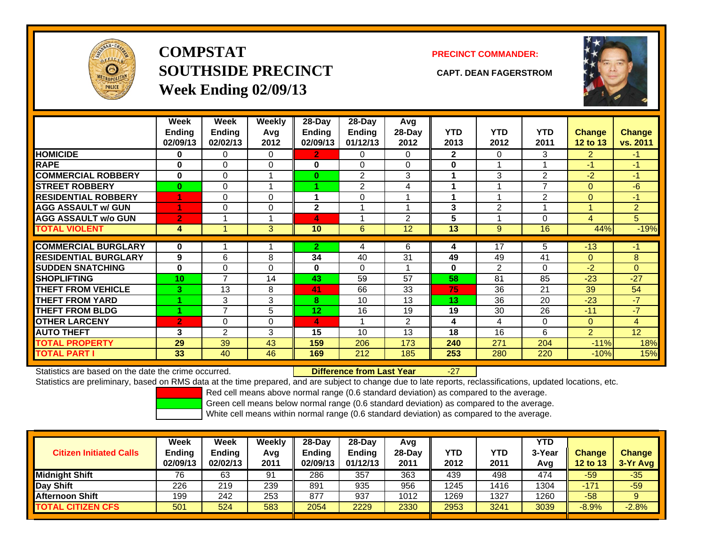

**COMPSTATSOUTHSIDE PRECINCT CAPT. DEAN FAGERSTROMWeek Ending 02/09/13**

#### **PRECINCT COMMANDER:**



|                             | Week<br>Ending<br>02/09/13 | Week<br><b>Ending</b><br>02/02/13 | <b>Weekly</b><br>Avq<br>2012 | $28 - Day$<br>Ending<br>02/09/13 | $28 - Day$<br><b>Ending</b><br>01/12/13 | Avg<br>$28-Day$<br>2012 | <b>YTD</b><br>2013 | <b>YTD</b><br>2012 | <b>YTD</b><br>2011 | <b>Change</b><br>12 to 13 | <b>Change</b><br>vs. 2011 |
|-----------------------------|----------------------------|-----------------------------------|------------------------------|----------------------------------|-----------------------------------------|-------------------------|--------------------|--------------------|--------------------|---------------------------|---------------------------|
| <b>HOMICIDE</b>             | 0                          | 0                                 | 0                            | $\mathbf{2}$                     | 0                                       | $\Omega$                | $\mathbf{2}$       | 0                  | 3                  | $\overline{2}$            | $-1$                      |
| <b>RAPE</b>                 | $\bf{0}$                   | 0                                 | $\Omega$                     | 0                                | 0                                       | $\Omega$                | $\bf{0}$           | 1                  |                    | $-1$                      | $-1$                      |
| <b>COMMERCIAL ROBBERY</b>   | $\bf{0}$                   | 0                                 | $\overline{\mathbf{A}}$      | $\bf{0}$                         | 2                                       | 3                       | 1                  | 3                  | 2                  | -2                        | $-1$                      |
| <b>STREET ROBBERY</b>       | $\bf{0}$                   | 0                                 |                              |                                  | 2                                       | 4                       |                    | 1                  | 7                  | $\Omega$                  | -6                        |
| <b>RESIDENTIAL ROBBERY</b>  |                            | 0                                 | $\Omega$                     |                                  | 0                                       |                         |                    | 1                  | 2                  | $\Omega$                  | $-1$                      |
| <b>AGG ASSAULT w/ GUN</b>   |                            | 0                                 | $\Omega$                     | $\mathbf{2}$                     |                                         |                         | 3                  | $\overline{2}$     |                    |                           | $\overline{2}$            |
| <b>AGG ASSAULT w/o GUN</b>  | $\overline{2}$             |                                   |                              | 4                                |                                         | $\mathfrak{p}$          | 5                  | 1                  | 0                  | 4                         | 5                         |
| <b>TOTAL VIOLENT</b>        | 4                          |                                   | 3 <sup>1</sup>               | 10                               | 6                                       | 12                      | 13                 | 9                  | 16                 | 44%                       | $-19%$                    |
| <b>COMMERCIAL BURGLARY</b>  | $\bf{0}$                   |                                   |                              | $\mathbf{2}$                     |                                         | 6                       |                    | 17                 | 5                  | $-13$                     | $-1$                      |
|                             |                            |                                   |                              |                                  | 4                                       |                         | 4                  |                    |                    |                           |                           |
| <b>RESIDENTIAL BURGLARY</b> | 9                          | 6                                 | 8                            | 34                               | 40                                      | 31                      | 49                 | 49                 | 41                 | $\Omega$                  | 8                         |
| <b>SUDDEN SNATCHING</b>     | $\bf{0}$                   | 0                                 | $\Omega$                     | 0                                | 0                                       |                         | $\bf{0}$           | $\mathfrak{p}$     | 0                  | -2                        | $\Omega$                  |
| <b>SHOPLIFTING</b>          | 10                         | 7                                 | 14                           | 43                               | 59                                      | 57                      | 58                 | 81                 | 85                 | $-23$                     | $-27$                     |
| <b>THEFT FROM VEHICLE</b>   | 3                          | 13                                | 8                            | 41                               | 66                                      | 33                      | 75                 | 36                 | 21                 | 39                        | 54                        |
| <b>THEFT FROM YARD</b>      |                            | 3                                 | 3                            | 8                                | 10                                      | 13                      | 13                 | 36                 | 20                 | $-23$                     | $-7$                      |
| <b>THEFT FROM BLDG</b>      |                            | 7                                 | 5                            | 12                               | 16                                      | 19                      | 19                 | 30                 | 26                 | $-11$                     | $-7$                      |
| <b>OTHER LARCENY</b>        | $\overline{2}$             | 0                                 | $\Omega$                     | 4                                |                                         | 2                       | 4                  | $\overline{4}$     | 0                  | $\Omega$                  | 4                         |
| <b>AUTO THEFT</b>           | 3                          | $\overline{2}$                    | 3                            | 15                               | 10                                      | 13                      | 18                 | 16                 | 6                  | $\overline{2}$            | 12                        |
| <b>TOTAL PROPERTY</b>       | 29                         | 39                                | 43                           | 159                              | 206                                     | 173                     | 240                | 271                | 204                | $-11%$                    | 18%                       |
| <b>TOTAL PART I</b>         | 33                         | 40                                | 46                           | 169                              | 212                                     | 185                     | 253                | 280                | 220                | $-10%$                    | 15%                       |

Statistics are based on the date the crime occurred. **Difference from Last Year** 

-27

Statistics are preliminary, based on RMS data at the time prepared, and are subject to change due to late reports, reclassifications, updated locations, etc.

Red cell means above normal range (0.6 standard deviation) as compared to the average.

Green cell means below normal range (0.6 standard deviation) as compared to the average.

| <b>Citizen Initiated Calls</b> | Week<br><b>Ending</b><br>02/09/13 | Week<br><b>Ending</b><br>02/02/13 | Weekly<br>Avg<br>2011 | $28-Day$<br><b>Ending</b><br>02/09/13 | 28-Day<br><b>Ending</b><br>01/12/13 | Avg<br>28-Dav<br>2011 | YTD<br>2012 | YTD<br>2011 | <b>YTD</b><br>3-Year<br>Avg | <b>Change</b><br><b>12 to 13</b> | <b>Change</b><br>$3-Yr$ Avg |
|--------------------------------|-----------------------------------|-----------------------------------|-----------------------|---------------------------------------|-------------------------------------|-----------------------|-------------|-------------|-----------------------------|----------------------------------|-----------------------------|
| <b>Midnight Shift</b>          | 76                                | 63                                | 91                    | 286                                   | 357                                 | 363                   | 439         | 498         | 474                         | $-59$                            | $-35$                       |
| Day Shift                      | 226                               | 219                               | 239                   | 891                                   | 935                                 | 956                   | 1245        | 1416        | 1304                        | $-171$                           | $-59$                       |
| <b>Afternoon Shift</b>         | 199                               | 242                               | 253                   | 877                                   | 937                                 | 1012                  | 1269        | 1327        | 1260                        | $-58$                            |                             |
| <b>TOTAL CITIZEN CFS</b>       | 501                               | 524                               | 583                   | 2054                                  | 2229                                | 2330                  | 2953        | 3241        | 3039                        | $-8.9%$                          | $-2.8%$                     |
|                                |                                   |                                   |                       |                                       |                                     |                       |             |             |                             |                                  |                             |